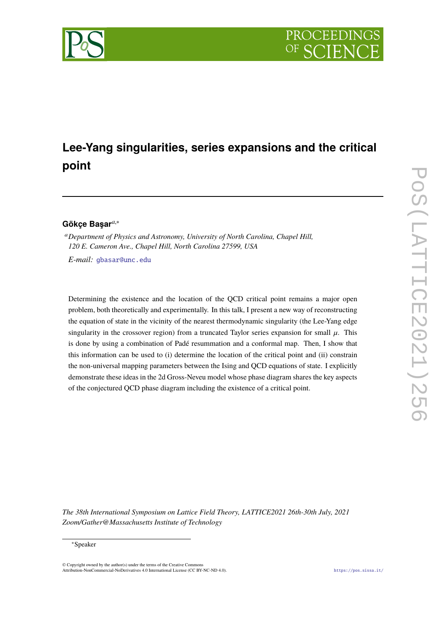

# **Lee-Yang singularities, series expansions and the critical point**

# **Gökçe Başar***a*,<sup>∗</sup>

<sup>a</sup>*Department of Physics and Astronomy, University of North Carolina, Chapel Hill, 120 E. Cameron Ave., Chapel Hill, North Carolina 27599, USA E-mail:* [gbasar@unc.edu](mailto:gbasar@unc.edu)

Determining the existence and the location of the QCD critical point remains a major open problem, both theoretically and experimentally. In this talk, I present a new way of reconstructing the equation of state in the vicinity of the nearest thermodynamic singularity (the Lee-Yang edge singularity in the crossover region) from a truncated Taylor series expansion for small  $\mu$ . This is done by using a combination of Padé resummation and a conformal map. Then, I show that this information can be used to (i) determine the location of the critical point and (ii) constrain the non-universal mapping parameters between the Ising and QCD equations of state. I explicitly demonstrate these ideas in the 2d Gross-Neveu model whose phase diagram shares the key aspects of the conjectured QCD phase diagram including the existence of a critical point.

*The 38th International Symposium on Lattice Field Theory, LATTICE2021 26th-30th July, 2021 Zoom/Gather@Massachusetts Institute of Technology*

#### ∗Speaker

 $\odot$  Copyright owned by the author(s) under the terms of the Creative Common Attribution-NonCommercial-NoDerivatives 4.0 International License (CC BY-NC-ND 4.0). <https://pos.sissa.it/>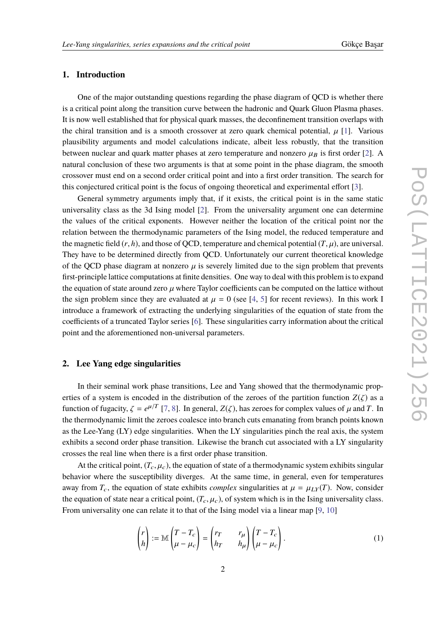# **1. Introduction**

One of the major outstanding questions regarding the phase diagram of QCD is whether there is a critical point along the transition curve between the hadronic and Quark Gluon Plasma phases. It is now well established that for physical quark masses, the deconfinement transition overlaps with the chiral transition and is a smooth crossover at zero quark chemical potential,  $\mu$  [\[1\]](#page-5-0). Various plausibility arguments and model calculations indicate, albeit less robustly, that the transition between nuclear and quark matter phases at zero temperature and nonzero  $\mu_B$  is first order [\[2\]](#page-5-1). A natural conclusion of these two arguments is that at some point in the phase diagram, the smooth crossover must end on a second order critical point and into a first order transition. The search for this conjectured critical point is the focus of ongoing theoretical and experimental effort [\[3\]](#page-6-0).

General symmetry arguments imply that, if it exists, the critical point is in the same static universality class as the 3d Ising model [\[2\]](#page-5-1). From the universality argument one can determine the values of the critical exponents. However neither the location of the critical point nor the relation between the thermodynamic parameters of the Ising model, the reduced temperature and the magnetic field  $(r, h)$ , and those of OCD, temperature and chemical potential  $(T, \mu)$ , are universal. They have to be determined directly from QCD. Unfortunately our current theoretical knowledge of the QCD phase diagram at nonzero  $\mu$  is severely limited due to the sign problem that prevents first-principle lattice computations at finite densities. One way to deal with this problem is to expand the equation of state around zero  $\mu$  where Taylor coefficients can be computed on the lattice without the sign problem since they are evaluated at  $\mu = 0$  (see [\[4,](#page-6-1) [5\]](#page-6-2) for recent reviews). In this work I introduce a framework of extracting the underlying singularities of the equation of state from the coefficients of a truncated Taylor series [\[6\]](#page-6-3). These singularities carry information about the critical point and the aforementioned non-universal parameters.

# **2. Lee Yang edge singularities**

In their seminal work phase transitions, Lee and Yang showed that the thermodynamic properties of a system is encoded in the distribution of the zeroes of the partition function  $Z(\zeta)$  as a function of fugacity,  $\zeta = e^{\mu/T}$  [\[7,](#page-6-4) [8\]](#page-6-5). In general,  $Z(\zeta)$ , has zeroes for complex values of  $\mu$  and *T*. In the thermodynamic limit the zeroes coolesse into branch out a grounding from branch points known the thermodynamic limit the zeroes coalesce into branch cuts emanating from branch points known as the Lee-Yang (LY) edge singularities. When the LY singularities pinch the real axis, the system exhibits a second order phase transition. Likewise the branch cut associated with a LY singularity crosses the real line when there is a first order phase transition.

At the critical point,  $(T_c, \mu_c)$ , the equation of state of a thermodynamic system exhibits singular behavior where the susceptibility diverges. At the same time, in general, even for temperatures away from  $T_c$ , the equation of state exhibits *complex* singularities at  $\mu = \mu_{LY}(T)$ . Now, consider the equation of state near a critical point,  $(T_c, \mu_c)$ , of system which is in the Ising universality class. From universality one can relate it to that of the Ising model via a linear map [\[9,](#page-6-6) [10\]](#page-6-7)

$$
\begin{pmatrix} r \\ h \end{pmatrix} := \mathbb{M} \begin{pmatrix} T - T_c \\ \mu - \mu_c \end{pmatrix} = \begin{pmatrix} r_T & r_\mu \\ h_T & h_\mu \end{pmatrix} \begin{pmatrix} T - T_c \\ \mu - \mu_c \end{pmatrix}.
$$
 (1)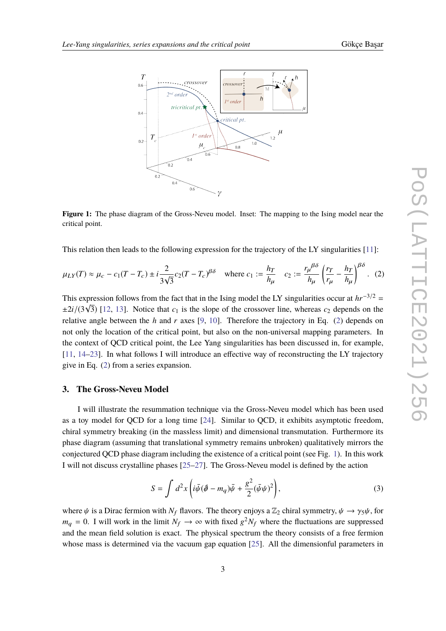

<span id="page-2-1"></span>

**Figure 1:** The phase diagram of the Gross-Neveu model. Inset: The mapping to the Ising model near the critical point.

This relation then leads to the following expression for the trajectory of the LY singularities [\[11\]](#page-6-8):

<span id="page-2-0"></span>
$$
\mu_{LY}(T) \approx \mu_c - c_1(T - T_c) \pm i \frac{2}{3\sqrt{3}} c_2(T - T_c)^{\beta \delta} \quad \text{where } c_1 := \frac{h_T}{h_\mu} \quad c_2 := \frac{r_\mu^{\beta \delta}}{h_\mu} \left(\frac{r_T}{r_\mu} - \frac{h_T}{h_\mu}\right)^{\beta \delta}.
$$
 (2)

This expression follows from the fact that in the Ising model the LY singularities occur at  $hr^{-3/2}$  =  $\pm 2i/(3\sqrt{3})$  [\[12,](#page-6-9) [13\]](#page-6-10). Notice that  $c_1$  is the slope of the crossover line, whereas  $c_2$  depends on the relative angle between the *h* and *r* axes [\[9,](#page-6-6) [10\]](#page-6-7). Therefore the trajectory in Eq. [\(2\)](#page-2-0) depends on not only the location of the critical point, but also on the non-universal mapping parameters. In the context of QCD critical point, the Lee Yang singularities has been discussed in, for example, [\[11,](#page-6-8) [14–](#page-6-11)[23\]](#page-7-0). In what follows I will introduce an effective way of reconstructing the LY trajectory give in Eq. [\(2\)](#page-2-0) from a series expansion.

### **3. The Gross-Neveu Model**

I will illustrate the resummation technique via the Gross-Neveu model which has been used as a toy model for QCD for a long time [\[24\]](#page-7-1). Similar to QCD, it exhibits asymptotic freedom, chiral symmetry breaking (in the massless limit) and dimensional transmutation. Furthermore its phase diagram (assuming that translational symmetry remains unbroken) qualitatively mirrors the conjectured QCD phase diagram including the existence of a critical point (see Fig. [1\)](#page-2-1). In this work I will not discuss crystalline phases [\[25–](#page-7-2)[27\]](#page-7-3). The Gross-Neveu model is defined by the action

$$
S = \int d^2x \left( i\bar{\psi}(\partial \!\!\! / - m_q) \bar{\psi} + \frac{g^2}{2} (\bar{\psi}\psi)^2 \right), \tag{3}
$$

where  $\psi$  is a Dirac fermion with  $N_f$  flavors. The theory enjoys a  $\mathbb{Z}_2$  chiral symmetry,  $\psi \to \gamma_5 \psi$ , for  $m_q = 0$ . I will work in the limit  $N_f \to \infty$  with fixed  $g^2 N_f$  where the fluctuations are suppressed and the mean field solution is exact. The physical spectrum the theory consists of a free fermion whose mass is determined via the vacuum gap equation [\[25\]](#page-7-2). All the dimensionful parameters in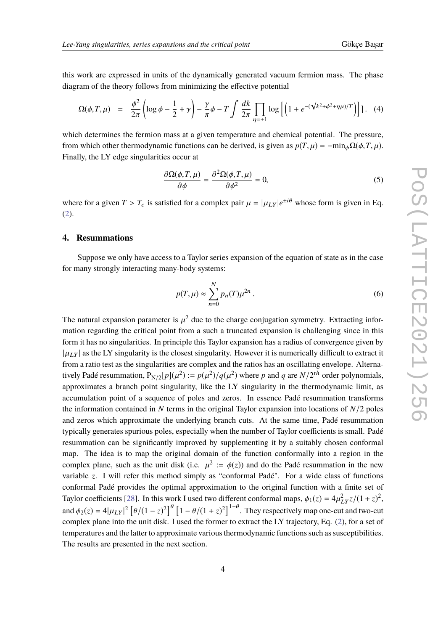this work are expressed in units of the dynamically generated vacuum fermion mass. The phase diagram of the theory follows from minimizing the effective potential

<span id="page-3-1"></span>
$$
\Omega(\phi, T, \mu) = \frac{\phi^2}{2\pi} \left( \log \phi - \frac{1}{2} + \gamma \right) - \frac{\gamma}{\pi} \phi - T \int \frac{dk}{2\pi} \prod_{\eta = \pm 1} \log \left[ \left( 1 + e^{-(\sqrt{k^2 + \phi^2} + \eta \mu)/T} \right) \right] \right]. \tag{4}
$$

which determines the fermion mass at a given temperature and chemical potential. The pressure, from which other thermodynamic functions can be derived, is given as  $p(T, \mu) = -\min_{\phi} \Omega(\phi, T, \mu)$ . Finally, the LY edge singularities occur at

$$
\frac{\partial \Omega(\phi, T, \mu)}{\partial \phi} = \frac{\partial^2 \Omega(\phi, T, \mu)}{\partial \phi^2} = 0,
$$
\n(5)

where for a given  $T > T_c$  is satisfied for a complex pair  $\mu = |\mu_{LY}|e^{\pm i\theta}$  whose form is given in Eq. [\(2\)](#page-2-0).

#### **4. Resummations**

Suppose we only have access to a Taylor series expansion of the equation of state as in the case for many strongly interacting many-body systems:

<span id="page-3-0"></span>
$$
p(T,\mu) \approx \sum_{n=0}^{N} p_n(T)\mu^{2n} \,. \tag{6}
$$

The natural expansion parameter is  $\mu^2$  due to the charge conjugation symmetry. Extracting infor-<br>mation recording the critical point from a such a truncated arrangion is shallenging since in this mation regarding the critical point from a such a truncated expansion is challenging since in this form it has no singularities. In principle this Taylor expansion has a radius of convergence given by  $|\mu_{LY}|$  as the LY singularity is the closest singularity. However it is numerically difficult to extract it from a ratio test as the singularities are complex and the ratios has an oscillating envelope. Alternatively Padé resummation,  $P_{N/2}[p](\mu^2) := p(\mu^2)/q(\mu^2)$  where *p* and *q* are  $N/2^{th}$  order polynomials, approximates a branch point singularity, like the LY singularity in the thermodynamic limit, as accumulation point of a sequence of poles and zeros. In essence Padé resummation transforms the information contained in *N* terms in the original Taylor expansion into locations of *N*/2 poles and zeros which approximate the underlying branch cuts. At the same time, Padé resummation typically generates spurious poles, especially when the number of Taylor coefficients is small. Padé resummation can be significantly improved by supplementing it by a suitably chosen conformal map. The idea is to map the original domain of the function conformally into a region in the complex plane, such as the unit disk (i.e.  $\mu^2 := \phi(z)$ ) and do the Padé resummation in the new variable *z*. I will refer this method simply as "conformal Padé". For a wide class of functions conformal Padé provides the optimal approximation to the original function with a finite set of Taylor coefficients [\[28\]](#page-7-4). In this work I used two different conformal maps,  $\phi_1(z) = 4\mu_{LY}^2 z/(1+z)^2$ , and  $\phi_2(z) = 4|\mu_L y|^2 \left[\theta/(1-z)^2\right]^\theta \left[1-\theta/(1+z)^2\right]^{1-\theta}$ . They respectively map one-cut and two-cut complex plane into the unit disk. I used the former to extract the LY trajectory, Eq. [\(2\)](#page-2-0), for a set of temperatures and the latter to approximate various thermodynamic functions such as susceptibilities. The results are presented in the next section.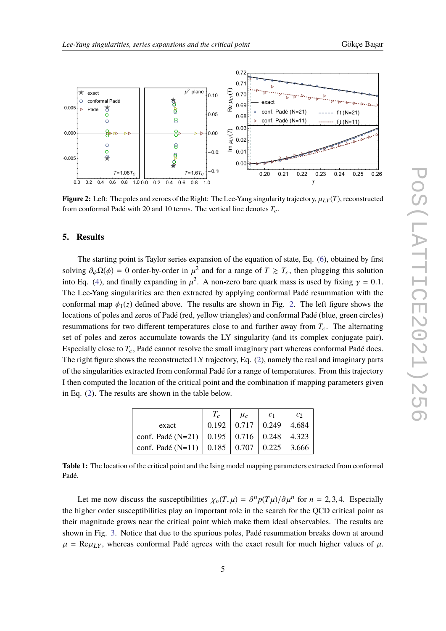<span id="page-4-0"></span>

**Figure 2:** Left: The poles and zeroes of the Right: The Lee-Yang singularity trajectory,  $\mu_{LY}(T)$ , reconstructed from conformal Padé with 20 and 10 terms. The vertical line denotes  $T_c$ .

#### **5. Results**

The starting point is Taylor series expansion of the equation of state, Eq. [\(6\)](#page-3-0), obtained by first solving  $\partial_{\phi} \Omega(\phi) = 0$  order-by-order in  $\mu^2$  and for a range of  $T \ge T_c$ , then plugging this solution<br>into Eq. (4) and finally expanding in  $\mu^2$ . A non-zero here quark mass is used by fixing  $\mu = 0.1$ into Eq. [\(4\)](#page-3-1), and finally expanding in  $\mu^2$ . A non-zero bare quark mass is used by fixing  $\gamma = 0.1$ .<br>The Lee None singularities are then surrested by englying conformal Dadá resummation with the The Lee-Yang singularities are then extracted by applying conformal Padé resummation with the conformal map  $\phi_1(z)$  defined above. The results are shown in Fig. [2.](#page-4-0) The left figure shows the locations of poles and zeros of Padé (red, yellow triangles) and conformal Padé (blue, green circles) resummations for two different temperatures close to and further away from  $T_c$ . The alternating set of poles and zeros accumulate towards the LY singularity (and its complex conjugate pair). Especially close to  $T_c$ , Padé cannot resolve the small imaginary part whereas conformal Padé does. The right figure shows the reconstructed LY trajectory, Eq. [\(2\)](#page-2-0), namely the real and imaginary parts of the singularities extracted from conformal Padé for a range of temperatures. From this trajectory I then computed the location of the critical point and the combination if mapping parameters given in Eq. [\(2\)](#page-2-0). The results are shown in the table below.

|                                                           | $\mu_c$                                  | $\mathcal{C}$ |
|-----------------------------------------------------------|------------------------------------------|---------------|
| exact                                                     | $0.192 \mid 0.717 \mid 0.249 \mid 4.684$ |               |
| conf. Padé (N=21)   $0.195$   $0.716$   $0.248$   $4.323$ |                                          |               |
| conf. Padé (N=11)   $0.185$   $0.707$   $0.225$   3.666   |                                          |               |

**Table 1:** The location of the critical point and the Ising model mapping parameters extracted from conformal Padé.

Let me now discuss the susceptibilities  $\chi_n(T,\mu) = \frac{\partial^n p(T\mu)}{\partial \mu^n}$  for  $n = 2,3,4$ . Especially the higher order susceptibilities play an important role in the search for the QCD critical point as their magnitude grows near the critical point which make them ideal observables. The results are shown in Fig. [3.](#page-5-2) Notice that due to the spurious poles, Padé resummation breaks down at around  $\mu$  = Re $\mu_{LY}$ , whereas conformal Padé agrees with the exact result for much higher values of  $\mu$ .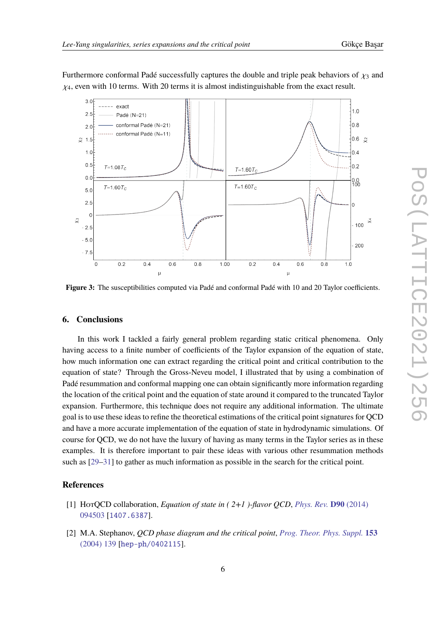Furthermore conformal Padé successfully captures the double and triple peak behaviors of  $\chi_3$  and  $\chi_4$ , even with 10 terms. With 20 terms it is almost indistinguishable from the exact result.

<span id="page-5-2"></span>

**Figure 3:** The susceptibilities computed via Padé and conformal Padé with 10 and 20 Taylor coefficients.

# **6. Conclusions**

In this work I tackled a fairly general problem regarding static critical phenomena. Only having access to a finite number of coefficients of the Taylor expansion of the equation of state, how much information one can extract regarding the critical point and critical contribution to the equation of state? Through the Gross-Neveu model, I illustrated that by using a combination of Padé resummation and conformal mapping one can obtain significantly more information regarding the location of the critical point and the equation of state around it compared to the truncated Taylor expansion. Furthermore, this technique does not require any additional information. The ultimate goal is to use these ideas to refine the theoretical estimations of the critical point signatures for QCD and have a more accurate implementation of the equation of state in hydrodynamic simulations. Of course for QCD, we do not have the luxury of having as many terms in the Taylor series as in these examples. It is therefore important to pair these ideas with various other resummation methods such as [\[29–](#page-7-5)[31\]](#page-7-6) to gather as much information as possible in the search for the critical point.

### **References**

- <span id="page-5-0"></span>[1] HotQCD collaboration, *Equation of state in ( 2+1 )-flavor QCD*, *[Phys. Rev.](https://doi.org/10.1103/PhysRevD.90.094503)* **D90** (2014) [094503](https://doi.org/10.1103/PhysRevD.90.094503) [[1407.6387](https://arxiv.org/abs/1407.6387)].
- <span id="page-5-1"></span>[2] M.A. Stephanov, *QCD phase diagram and the critical point*, *[Prog. Theor. Phys. Suppl.](https://doi.org/10.1142/S0217751X05027965)* **153** [\(2004\) 139](https://doi.org/10.1142/S0217751X05027965) [[hep-ph/0402115](https://arxiv.org/abs/hep-ph/0402115)].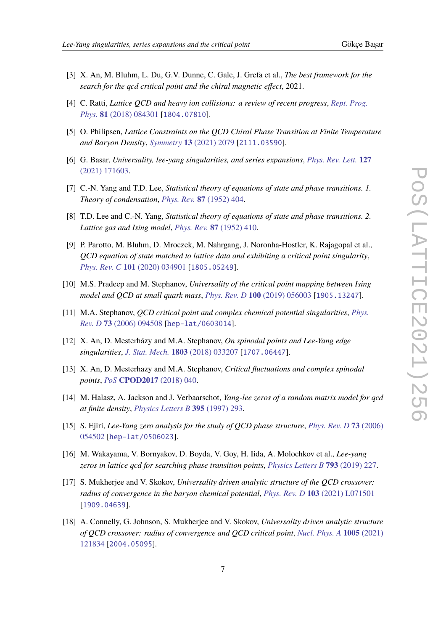- 
- <span id="page-6-0"></span>[3] X. An, M. Bluhm, L. Du, G.V. Dunne, C. Gale, J. Grefa et al., *The best framework for the search for the qcd critical point and the chiral magnetic effect*, 2021.
- <span id="page-6-1"></span>[4] C. Ratti, *Lattice QCD and heavy ion collisions: a review of recent progress*, *[Rept. Prog.](https://doi.org/10.1088/1361-6633/aabb97) Phys.* **81** [\(2018\) 084301](https://doi.org/10.1088/1361-6633/aabb97) [[1804.07810](https://arxiv.org/abs/1804.07810)].
- <span id="page-6-2"></span>[5] O. Philipsen, *Lattice Constraints on the QCD Chiral Phase Transition at Finite Temperature and Baryon Density*, *[Symmetry](https://doi.org/10.3390/sym13112079)* **13** (2021) 2079 [[2111.03590](https://arxiv.org/abs/2111.03590)].
- <span id="page-6-3"></span>[6] G. Basar, *Universality, lee-yang singularities, and series expansions*, *[Phys. Rev. Lett.](https://doi.org/10.1103/PhysRevLett.127.171603)* **127** [\(2021\) 171603.](https://doi.org/10.1103/PhysRevLett.127.171603)
- <span id="page-6-4"></span>[7] C.-N. Yang and T.D. Lee, *Statistical theory of equations of state and phase transitions. 1. Theory of condensation*, *[Phys. Rev.](https://doi.org/10.1103/PhysRev.87.404)* **87** (1952) 404.
- <span id="page-6-5"></span>[8] T.D. Lee and C.-N. Yang, *Statistical theory of equations of state and phase transitions. 2. Lattice gas and Ising model*, *[Phys. Rev.](https://doi.org/10.1103/PhysRev.87.410)* **87** (1952) 410.
- <span id="page-6-6"></span>[9] P. Parotto, M. Bluhm, D. Mroczek, M. Nahrgang, J. Noronha-Hostler, K. Rajagopal et al., *QCD equation of state matched to lattice data and exhibiting a critical point singularity*, *[Phys. Rev. C](https://doi.org/10.1103/PhysRevC.101.034901)* **101** (2020) 034901 [[1805.05249](https://arxiv.org/abs/1805.05249)].
- <span id="page-6-7"></span>[10] M.S. Pradeep and M. Stephanov, *Universality of the critical point mapping between Ising model and QCD at small quark mass*, *[Phys. Rev. D](https://doi.org/10.1103/PhysRevD.100.056003)* **100** (2019) 056003 [[1905.13247](https://arxiv.org/abs/1905.13247)].
- <span id="page-6-8"></span>[11] M.A. Stephanov, *QCD critical point and complex chemical potential singularities*, *[Phys.](https://doi.org/10.1103/PhysRevD.73.094508) Rev. D* **73** [\(2006\) 094508](https://doi.org/10.1103/PhysRevD.73.094508) [[hep-lat/0603014](https://arxiv.org/abs/hep-lat/0603014)].
- <span id="page-6-9"></span>[12] X. An, D. Mesterházy and M.A. Stephanov, *On spinodal points and Lee-Yang edge singularities*, *[J. Stat. Mech.](https://doi.org/10.1088/1742-5468/aaac4a)* **1803** (2018) 033207 [[1707.06447](https://arxiv.org/abs/1707.06447)].
- <span id="page-6-10"></span>[13] X. An, D. Mesterhazy and M.A. Stephanov, *Critical fluctuations and complex spinodal points*, *PoS* **[CPOD2017](https://doi.org/10.22323/1.311.0040)** (2018) 040.
- <span id="page-6-11"></span>[14] M. Halasz, A. Jackson and J. Verbaarschot, *Yang-lee zeros of a random matrix model for qcd at finite density*, *[Physics Letters B](https://doi.org/10.1016/s0370-2693(97)00015-4)* **395** (1997) 293.
- [15] S. Ejiri, *Lee-Yang zero analysis for the study of QCD phase structure*, *[Phys. Rev. D](https://doi.org/10.1103/PhysRevD.73.054502)* **73** (2006) [054502](https://doi.org/10.1103/PhysRevD.73.054502) [[hep-lat/0506023](https://arxiv.org/abs/hep-lat/0506023)].
- [16] M. Wakayama, V. Bornyakov, D. Boyda, V. Goy, H. Iida, A. Molochkov et al., *Lee-yang zeros in lattice qcd for searching phase transition points*, *[Physics Letters B](https://doi.org/https://doi.org/10.1016/j.physletb.2019.04.040)* **793** (2019) 227.
- [17] S. Mukherjee and V. Skokov, *Universality driven analytic structure of the QCD crossover: radius of convergence in the baryon chemical potential*, *[Phys. Rev. D](https://doi.org/10.1103/PhysRevD.103.L071501)* **103** (2021) L071501 [[1909.04639](https://arxiv.org/abs/1909.04639)].
- [18] A. Connelly, G. Johnson, S. Mukherjee and V. Skokov, *Universality driven analytic structure of QCD crossover: radius of convergence and QCD critical point*, *[Nucl. Phys. A](https://doi.org/10.1016/j.nuclphysa.2020.121834)* **1005** (2021) [121834](https://doi.org/10.1016/j.nuclphysa.2020.121834) [[2004.05095](https://arxiv.org/abs/2004.05095)].